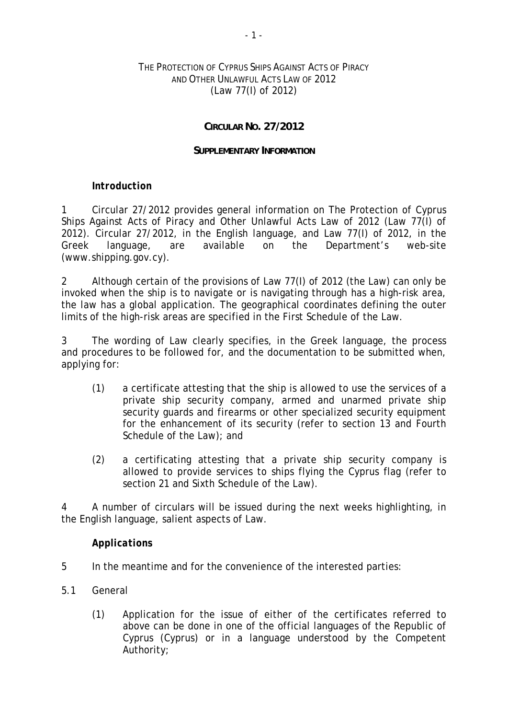### THE PROTECTION OF CYPRUS SHIPS AGAINST ACTS OF PIRACY AND OTHER UNLAWFUL ACTS LAW OF 2012 (Law 77(I) of 2012)

### **CIRCULAR NO. 27/2012**

#### **SUPPLEMENTARY INFORMATION**

#### *Introduction*

1 Circular 27/2012 provides general information on The Protection of Cyprus Ships Against Acts of Piracy and Other Unlawful Acts Law of 2012 (Law 77(I) of 2012). Circular 27/2012, in the English language, and Law 77(I) of 2012, in the Greek language, are available on the Department's web-site (www.shipping.gov.cy).

2 Although certain of the provisions of Law 77(I) of 2012 (the Law) can only be invoked when the ship is to navigate or is navigating through has a high-risk area, the law has a global application. The geographical coordinates defining the outer limits of the high-risk areas are specified in the First Schedule of the Law.

3 The wording of Law clearly specifies, in the Greek language, the process and procedures to be followed for, and the documentation to be submitted when, applying for:

- (1) a certificate attesting that the ship is allowed to use the services of a private ship security company, armed and unarmed private ship security guards and firearms or other specialized security equipment for the enhancement of its security (refer to section 13 and Fourth Schedule of the Law); and
- (2) a certificating attesting that a private ship security company is allowed to provide services to ships flying the Cyprus flag (refer to section 21 and Sixth Schedule of the Law).

4 A number of circulars will be issued during the next weeks highlighting, in the English language, salient aspects of Law.

#### *Applications*

- 5 In the meantime and for the convenience of the interested parties:
- 5.1 General
	- (1) Application for the issue of either of the certificates referred to above can be done in one of the official languages of the Republic of Cyprus (Cyprus) or in a language understood by the Competent Authority;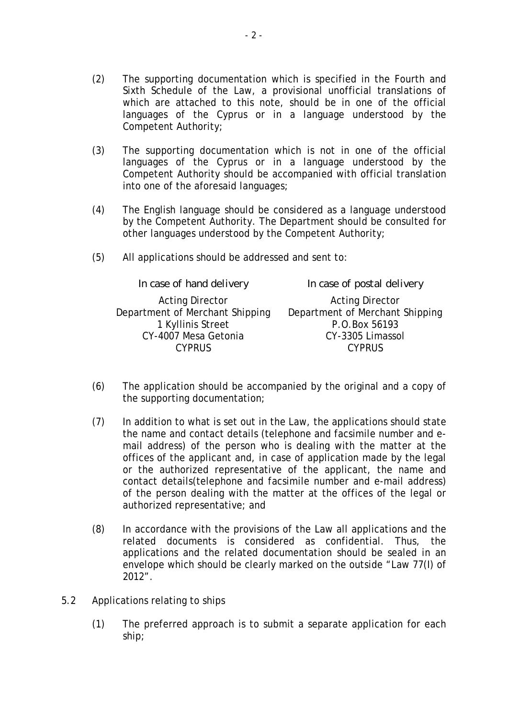- (2) The supporting documentation which is specified in the Fourth and Sixth Schedule of the Law, a provisional unofficial translations of which are attached to this note, should be in one of the official languages of the Cyprus or in a language understood by the Competent Authority;
- (3) The supporting documentation which is not in one of the official languages of the Cyprus or in a language understood by the Competent Authority should be accompanied with official translation into one of the aforesaid languages;
- (4) The English language should be considered as a language understood by the Competent Authority. The Department should be consulted for other languages understood by the Competent Authority;
- (5) All applications should be addressed and sent to:

| In case of hand delivery        | In case of postal delivery      |
|---------------------------------|---------------------------------|
| <b>Acting Director</b>          | <b>Acting Director</b>          |
| Department of Merchant Shipping | Department of Merchant Shipping |
| 1 Kyllinis Street               | P.O.Box 56193                   |
| CY-4007 Mesa Getonia            | CY-3305 Limassol                |
| <b>CYPRUS</b>                   | <b>CYPRUS</b>                   |

- (6) The application should be accompanied by the original and a copy of the supporting documentation;
- (7) In addition to what is set out in the Law, the applications should state the name and contact details (telephone and facsimile number and email address) of the person who is dealing with the matter at the offices of the applicant and, in case of application made by the legal or the authorized representative of the applicant, the name and contact details(telephone and facsimile number and e-mail address) of the person dealing with the matter at the offices of the legal or authorized representative; and
- (8) In accordance with the provisions of the Law all applications and the related documents is considered as confidential. Thus, the applications and the related documentation should be sealed in an envelope which should be clearly marked on the outside "Law 77(I) of 2012".
- 5.2 Applications relating to ships
	- (1) The preferred approach is to submit a separate application for each ship;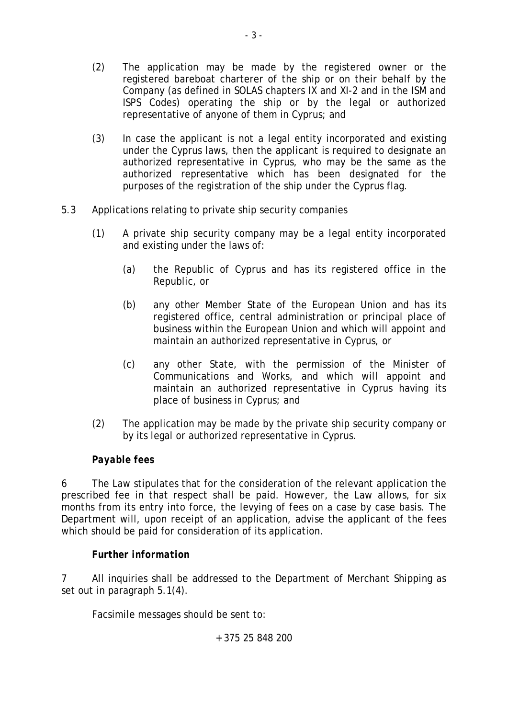- (2) The application may be made by the registered owner or the registered bareboat charterer of the ship or on their behalf by the Company (as defined in SOLAS chapters IX and XI-2 and in the ISM and ISPS Codes) operating the ship or by the legal or authorized representative of anyone of them in Cyprus; and
- (3) In case the applicant is not a legal entity incorporated and existing under the Cyprus laws, then the applicant is required to designate an authorized representative in Cyprus, who may be the same as the authorized representative which has been designated for the purposes of the registration of the ship under the Cyprus flag.
- 5.3 Applications relating to private ship security companies
	- (1) A private ship security company may be a legal entity incorporated and existing under the laws of:
		- (a) the Republic of Cyprus and has its registered office in the Republic, or
		- (b) any other Member State of the European Union and has its registered office, central administration or principal place of business within the European Union and which will appoint and maintain an authorized representative in Cyprus, or
		- (c) any other State, with the permission of the Minister of Communications and Works, and which will appoint and maintain an authorized representative in Cyprus having its place of business in Cyprus; and
	- (2) The application may be made by the private ship security company or by its legal or authorized representative in Cyprus.

# *Payable fees*

6 The Law stipulates that for the consideration of the relevant application the prescribed fee in that respect shall be paid. However, the Law allows, for six months from its entry into force, the levying of fees on a case by case basis. The Department will, upon receipt of an application, advise the applicant of the fees which should be paid for consideration of its application.

## *Further information*

7 All inquiries shall be addressed to the Department of Merchant Shipping as set out in paragraph 5.1(4).

Facsimile messages should be sent to:

+ 375 25 848 200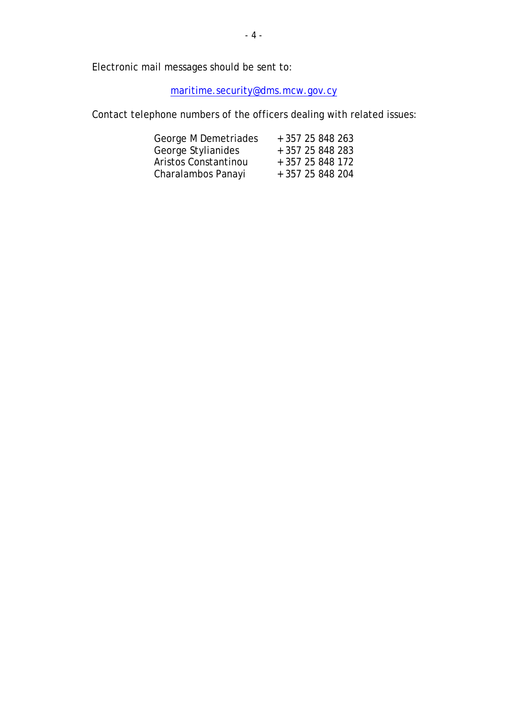Electronic mail messages should be sent to:

maritime.security@dms.mcw.gov.cy

Contact telephone numbers of the officers dealing with related issues:

| George M Demetriades | + 357 25 848 263 |
|----------------------|------------------|
| George Stylianides   | + 357 25 848 283 |
| Aristos Constantinou | + 357 25 848 172 |
| Charalambos Panayi   | + 357 25 848 204 |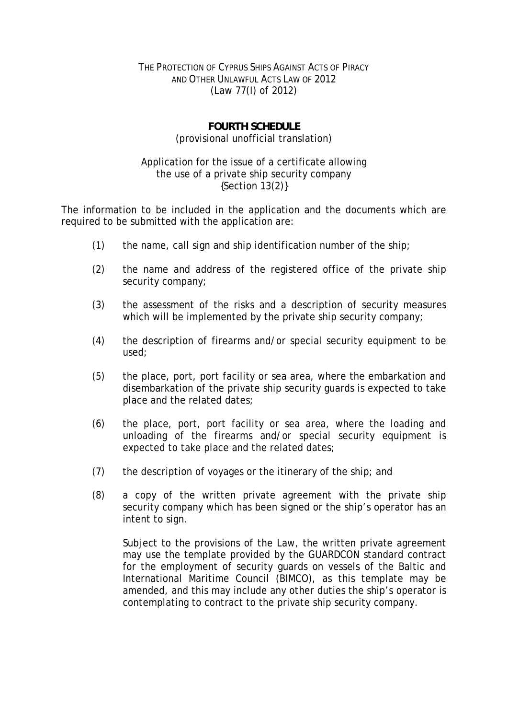### THE PROTECTION OF CYPRUS SHIPS AGAINST ACTS OF PIRACY AND OTHER UNLAWFUL ACTS LAW OF 2012 (Law 77(I) of 2012)

## **FOURTH SCHEDULE**  (provisional unofficial translation)

#### Application for the issue of a certificate allowing the use of a private ship security company {Section 13(2)}

The information to be included in the application and the documents which are required to be submitted with the application are:

- (1) the name, call sign and ship identification number of the ship;
- (2) the name and address of the registered office of the private ship security company;
- (3) the assessment of the risks and a description of security measures which will be implemented by the private ship security company;
- (4) the description of firearms and/or special security equipment to be used;
- (5) the place, port, port facility or sea area, where the embarkation and disembarkation of the private ship security guards is expected to take place and the related dates;
- (6) the place, port, port facility or sea area, where the loading and unloading of the firearms and/or special security equipment is expected to take place and the related dates;
- (7) the description of voyages or the itinerary of the ship; and
- (8) a copy of the written private agreement with the private ship security company which has been signed or the ship's operator has an intent to sign.

Subject to the provisions of the Law, the written private agreement may use the template provided by the GUARDCON standard contract for the employment of security guards on vessels of the Baltic and International Maritime Council (BIMCO), as this template may be amended, and this may include any other duties the ship's operator is contemplating to contract to the private ship security company.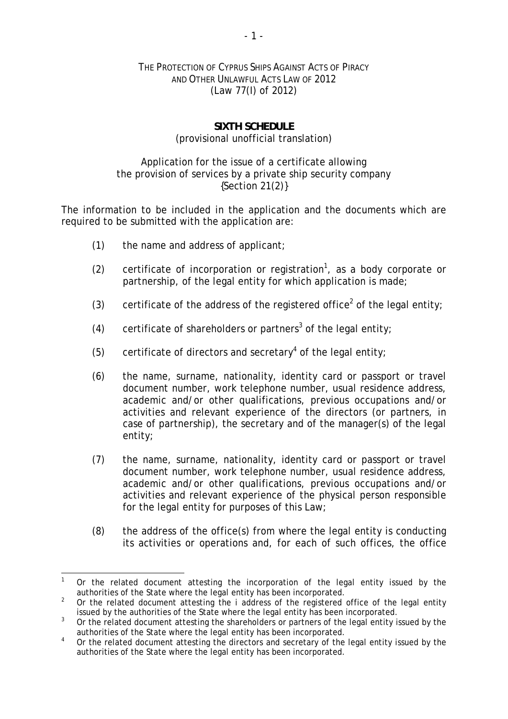### THE PROTECTION OF CYPRUS SHIPS AGAINST ACTS OF PIRACY AND OTHER UNLAWFUL ACTS LAW OF 2012 (Law 77(I) of 2012)

## **SIXTH SCHEDULE**  (provisional unofficial translation)

### Application for the issue of a certificate allowing the provision of services by a private ship security company {Section 21(2)}

The information to be included in the application and the documents which are required to be submitted with the application are:

- (1) the name and address of applicant;
- (2) certificate of incorporation or registration<sup>1</sup>, as a body corporate or partnership, of the legal entity for which application is made;
- (3) certificate of the address of the registered office<sup>2</sup> of the legal entity;
- (4) certificate of shareholders or partners<sup>3</sup> of the legal entity;
- (5) certificate of directors and secretary<sup>4</sup> of the legal entity;
- (6) the name, surname, nationality, identity card or passport or travel document number, work telephone number, usual residence address, academic and/or other qualifications, previous occupations and/or activities and relevant experience of the directors (or partners, in case of partnership), the secretary and of the manager(s) of the legal entity;
- (7) the name, surname, nationality, identity card or passport or travel document number, work telephone number, usual residence address, academic and/or other qualifications, previous occupations and/or activities and relevant experience of the physical person responsible for the legal entity for purposes of this Law;
- (8) the address of the office(s) from where the legal entity is conducting its activities or operations and, for each of such offices, the office

<sup>-</sup>1 Or the related document attesting the incorporation of the legal entity issued by the authorities of the State where the legal entity has been incorporated.

<sup>2</sup> Or the related document attesting the i address of the registered office of the legal entity issued by the authorities of the State where the legal entity has been incorporated.

<sup>3</sup> Or the related document attesting the shareholders or partners of the legal entity issued by the authorities of the State where the legal entity has been incorporated.

<sup>4</sup> Or the related document attesting the directors and secretary of the legal entity issued by the authorities of the State where the legal entity has been incorporated.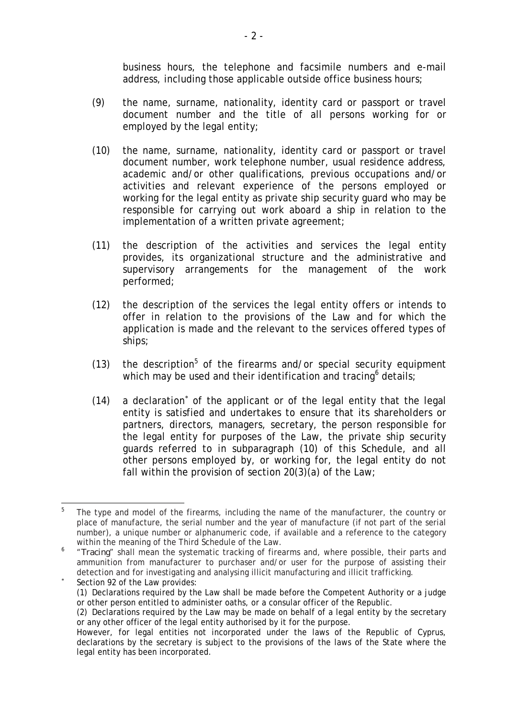business hours, the telephone and facsimile numbers and e-mail address, including those applicable outside office business hours;

- (9) the name, surname, nationality, identity card or passport or travel document number and the title of all persons working for or employed by the legal entity;
- (10) the name, surname, nationality, identity card or passport or travel document number, work telephone number, usual residence address, academic and/or other qualifications, previous occupations and/or activities and relevant experience of the persons employed or working for the legal entity as private ship security guard who may be responsible for carrying out work aboard a ship in relation to the implementation of a written private agreement;
- (11) the description of the activities and services the legal entity provides, its organizational structure and the administrative and supervisory arrangements for the management of the work performed;
- (12) the description of the services the legal entity offers or intends to offer in relation to the provisions of the Law and for which the application is made and the relevant to the services offered types of ships;
- (13) the description<sup>5</sup> of the firearms and/or special security equipment which may be used and their identification and tracing details;
- (14) a declaration<sup>\*</sup> of the applicant or of the legal entity that the legal entity is satisfied and undertakes to ensure that its shareholders or partners, directors, managers, secretary, the person responsible for the legal entity for purposes of the Law, the private ship security guards referred to in subparagraph (10) of this Schedule, and all other persons employed by, or working for, the legal entity do not fall within the provision of section 20(3)(a) of the Law;

<sup>—&</sup>lt;br>5 The type and model of the firearms, including the name of the manufacturer, the country or place of manufacture, the serial number and the year of manufacture (if not part of the serial number), a unique number or alphanumeric code, if available and a reference to the category within the meaning of the Third Schedule of the Law.

<sup>&</sup>lt;sup>6</sup> "*Tracing*" shall mean the systematic tracking of firearms and, where possible, their parts and ammunition from manufacturer to purchaser and/or user for the purpose of assisting their detection and for investigating and analysing illicit manufacturing and illicit trafficking. ×

Section 92 of the Law provides: (1) Declarations required by the Law shall be made before the Competent Authority or a judge or other person entitled to administer oaths, or a consular officer of the Republic.

<sup>(2)</sup> Declarations required by the Law may be made on behalf of a legal entity by the secretary or any other officer of the legal entity authorised by it for the purpose.

However, for legal entities not incorporated under the laws of the Republic of Cyprus, declarations by the secretary is subject to the provisions of the laws of the State where the legal entity has been incorporated.